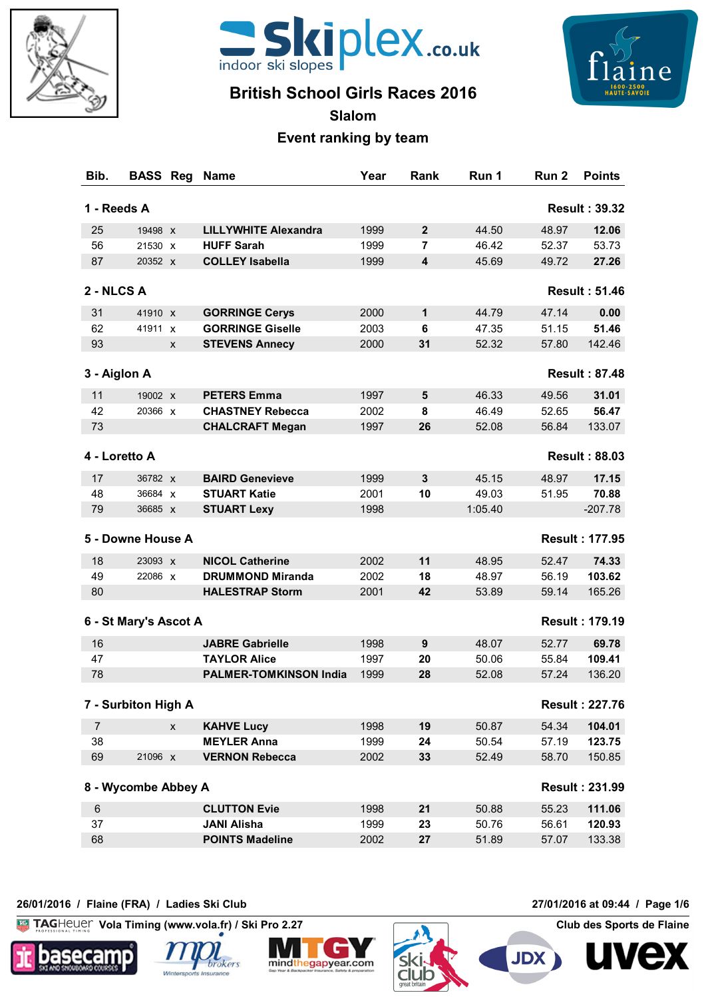



# **British School Girls Races 2016**



**Slalom**

### **Event ranking by team**

| Bib.           | <b>BASS Reg</b>       | <b>Name</b>                   | Year | Rank                    | Run 1   | Run <sub>2</sub> | <b>Points</b>         |
|----------------|-----------------------|-------------------------------|------|-------------------------|---------|------------------|-----------------------|
| 1 - Reeds A    |                       |                               |      |                         |         |                  | <b>Result: 39.32</b>  |
| 25             | 19498 X               | <b>LILLYWHITE Alexandra</b>   | 1999 | $\mathbf{2}$            | 44.50   | 48.97            | 12.06                 |
| 56             | 21530 X               | <b>HUFF Sarah</b>             | 1999 | 7                       | 46.42   | 52.37            | 53.73                 |
| 87             | 20352 X               | <b>COLLEY Isabella</b>        | 1999 | $\overline{\mathbf{4}}$ | 45.69   | 49.72            | 27.26                 |
| 2 - NLCS A     |                       |                               |      |                         |         |                  | <b>Result: 51.46</b>  |
| 31             | 41910 X               | <b>GORRINGE Cerys</b>         | 2000 | 1                       | 44.79   | 47.14            | 0.00                  |
| 62             | 41911 X               | <b>GORRINGE Giselle</b>       | 2003 | 6                       | 47.35   | 51.15            | 51.46                 |
| 93             | X                     | <b>STEVENS Annecy</b>         | 2000 | 31                      | 52.32   | 57.80            | 142.46                |
|                |                       |                               |      |                         |         |                  |                       |
|                | 3 - Aiglon A          |                               |      |                         |         |                  | <b>Result: 87.48</b>  |
| 11             | 19002 X               | <b>PETERS Emma</b>            | 1997 | 5                       | 46.33   | 49.56            | 31.01                 |
| 42             | 20366 X               | <b>CHASTNEY Rebecca</b>       | 2002 | 8                       | 46.49   | 52.65            | 56.47                 |
| 73             |                       | <b>CHALCRAFT Megan</b>        | 1997 | 26                      | 52.08   | 56.84            | 133.07                |
|                | 4 - Loretto A         |                               |      |                         |         |                  | <b>Result: 88.03</b>  |
| 17             | 36782 X               | <b>BAIRD Genevieve</b>        | 1999 | 3                       | 45.15   | 48.97            | 17.15                 |
| 48             | 36684 X               | <b>STUART Katie</b>           | 2001 | 10                      | 49.03   | 51.95            | 70.88                 |
| 79             | 36685 X               | <b>STUART Lexy</b>            | 1998 |                         | 1:05.40 |                  | $-207.78$             |
|                | 5 - Downe House A     |                               |      |                         |         |                  | <b>Result: 177.95</b> |
| 18             | 23093 X               | <b>NICOL Catherine</b>        | 2002 | 11                      | 48.95   | 52.47            | 74.33                 |
| 49             | 22086 x               | <b>DRUMMOND Miranda</b>       | 2002 | 18                      | 48.97   | 56.19            | 103.62                |
| 80             |                       | <b>HALESTRAP Storm</b>        | 2001 | 42                      | 53.89   | 59.14            | 165.26                |
|                | 6 - St Mary's Ascot A |                               |      |                         |         |                  | <b>Result: 179.19</b> |
| 16             |                       | <b>JABRE Gabrielle</b>        | 1998 | 9                       | 48.07   | 52.77            | 69.78                 |
| 47             |                       | <b>TAYLOR Alice</b>           | 1997 | 20                      | 50.06   | 55.84            | 109.41                |
| 78             |                       | <b>PALMER-TOMKINSON India</b> | 1999 | 28                      | 52.08   | 57.24            | 136.20                |
|                | 7 - Surbiton High A   |                               |      |                         |         |                  | <b>Result: 227.76</b> |
| $\overline{7}$ | $\mathsf{X}$          | <b>KAHVE Lucy</b>             | 1998 | 19                      | 50.87   | 54.34            | 104.01                |
| 38             |                       | <b>MEYLER Anna</b>            | 1999 | 24                      | 50.54   | 57.19            | 123.75                |
| 69             | 21096 x               | <b>VERNON Rebecca</b>         | 2002 | 33                      | 52.49   | 58.70            | 150.85                |
|                | 8 - Wycombe Abbey A   |                               |      |                         |         |                  | <b>Result: 231.99</b> |
| 6              |                       | <b>CLUTTON Evie</b>           | 1998 | 21                      | 50.88   | 55.23            | 111.06                |
| 37             |                       | <b>JANI Alisha</b>            | 1999 | 23                      | 50.76   | 56.61            | 120.93                |
| 68             |                       | <b>POINTS Madeline</b>        | 2002 | 27                      | 51.89   | 57.07            | 133.38                |
|                |                       |                               |      |                         |         |                  |                       |

#### **26/01/2016 / Flaine (FRA) / Ladies Ski Club 27/01/2016 at 09:44 / Page 1/6**

 $K<sub>G</sub>$ **Vola Timing (www.vola.fr) / Ski Pro 2.27 Club des Sports de Flaine**









**JDX** 

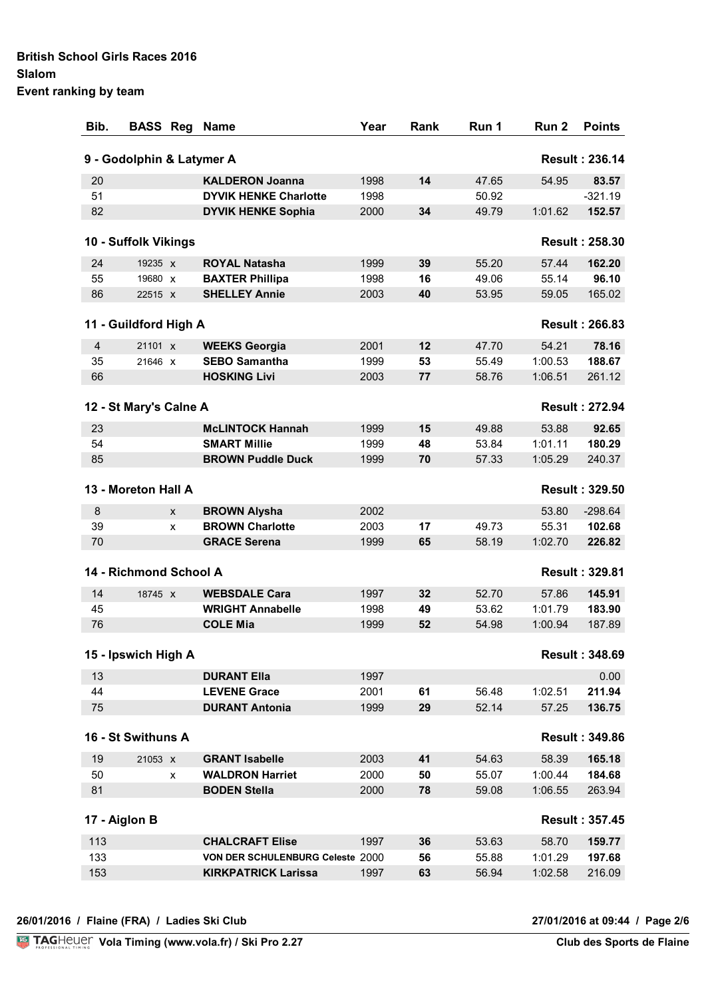| Event ranking by team |  |
|-----------------------|--|
|-----------------------|--|

| Bib. | <b>BASS Reg</b>           |   | <b>Name</b>                      | Year | Rank | Run 1 | Run 2   | <b>Points</b>         |
|------|---------------------------|---|----------------------------------|------|------|-------|---------|-----------------------|
|      | 9 - Godolphin & Latymer A |   |                                  |      |      |       |         | <b>Result: 236.14</b> |
| 20   |                           |   | <b>KALDERON Joanna</b>           | 1998 | 14   | 47.65 | 54.95   | 83.57                 |
| 51   |                           |   | <b>DYVIK HENKE Charlotte</b>     | 1998 |      | 50.92 |         | $-321.19$             |
| 82   |                           |   | <b>DYVIK HENKE Sophia</b>        | 2000 | 34   | 49.79 | 1:01.62 | 152.57                |
|      | 10 - Suffolk Vikings      |   |                                  |      |      |       |         | <b>Result: 258.30</b> |
| 24   | 19235 X                   |   | <b>ROYAL Natasha</b>             | 1999 | 39   | 55.20 | 57.44   | 162.20                |
| 55   | 19680 X                   |   | <b>BAXTER Phillipa</b>           | 1998 | 16   | 49.06 | 55.14   | 96.10                 |
| 86   | 22515 X                   |   | <b>SHELLEY Annie</b>             | 2003 | 40   | 53.95 | 59.05   | 165.02                |
|      | 11 - Guildford High A     |   |                                  |      |      |       |         | <b>Result: 266.83</b> |
| 4    | 21101 x                   |   | <b>WEEKS Georgia</b>             | 2001 | 12   | 47.70 | 54.21   | 78.16                 |
| 35   | 21646 x                   |   | <b>SEBO Samantha</b>             | 1999 | 53   | 55.49 | 1:00.53 | 188.67                |
| 66   |                           |   | <b>HOSKING Livi</b>              | 2003 | 77   | 58.76 | 1:06.51 | 261.12                |
|      | 12 - St Mary's Calne A    |   |                                  |      |      |       |         | <b>Result: 272.94</b> |
| 23   |                           |   | <b>McLINTOCK Hannah</b>          | 1999 | 15   | 49.88 | 53.88   | 92.65                 |
| 54   |                           |   | <b>SMART Millie</b>              | 1999 | 48   | 53.84 | 1:01.11 | 180.29                |
| 85   |                           |   | <b>BROWN Puddle Duck</b>         | 1999 | 70   | 57.33 | 1:05.29 | 240.37                |
|      | 13 - Moreton Hall A       |   |                                  |      |      |       |         | <b>Result: 329.50</b> |
| 8    |                           | X | <b>BROWN Alysha</b>              | 2002 |      |       | 53.80   | $-298.64$             |
| 39   |                           | X | <b>BROWN Charlotte</b>           | 2003 | 17   | 49.73 | 55.31   | 102.68                |
| 70   |                           |   | <b>GRACE Serena</b>              | 1999 | 65   | 58.19 | 1:02.70 | 226.82                |
|      | 14 - Richmond School A    |   |                                  |      |      |       |         | <b>Result: 329.81</b> |
| 14   | 18745 x                   |   | <b>WEBSDALE Cara</b>             | 1997 | 32   | 52.70 | 57.86   | 145.91                |
| 45   |                           |   | <b>WRIGHT Annabelle</b>          | 1998 | 49   | 53.62 | 1:01.79 | 183.90                |
| 76   |                           |   | <b>COLE Mia</b>                  | 1999 | 52   | 54.98 | 1:00.94 | 187.89                |
|      | 15 - Ipswich High A       |   |                                  |      |      |       |         | <b>Result: 348.69</b> |
| 13   |                           |   | <b>DURANT Ella</b>               | 1997 |      |       |         | 0.00                  |
| 44   |                           |   | <b>LEVENE Grace</b>              | 2001 | 61   | 56.48 | 1:02.51 | 211.94                |
| 75   |                           |   | <b>DURANT Antonia</b>            | 1999 | 29   | 52.14 | 57.25   | 136.75                |
|      | 16 - St Swithuns A        |   |                                  |      |      |       |         | <b>Result: 349.86</b> |
| 19   | 21053 X                   |   | <b>GRANT Isabelle</b>            | 2003 | 41   | 54.63 | 58.39   | 165.18                |
| 50   |                           | x | <b>WALDRON Harriet</b>           | 2000 | 50   | 55.07 | 1:00.44 | 184.68                |
| 81   |                           |   | <b>BODEN Stella</b>              | 2000 | 78   | 59.08 | 1:06.55 | 263.94                |
|      | 17 - Aiglon B             |   |                                  |      |      |       |         | <b>Result: 357.45</b> |
| 113  |                           |   | <b>CHALCRAFT Elise</b>           | 1997 | 36   | 53.63 | 58.70   | 159.77                |
| 133  |                           |   | VON DER SCHULENBURG Celeste 2000 |      | 56   | 55.88 | 1:01.29 | 197.68                |
| 153  |                           |   | <b>KIRKPATRICK Larissa</b>       | 1997 | 63   | 56.94 | 1:02.58 | 216.09                |
|      |                           |   |                                  |      |      |       |         |                       |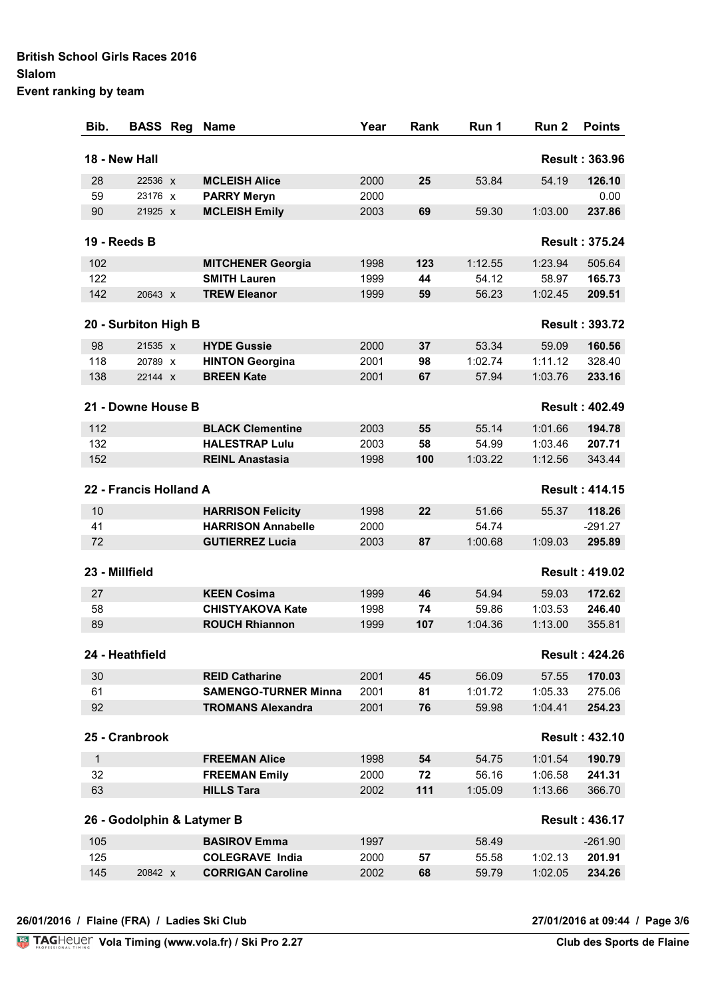#### **British School Girls Races 2016 Slalom Event ranking by team**

| Bib.         | <b>BASS Reg</b>        | <b>Name</b>                 | Year | <b>Rank</b> | Run 1   | Run <sub>2</sub> | <b>Points</b>         |
|--------------|------------------------|-----------------------------|------|-------------|---------|------------------|-----------------------|
|              | 18 - New Hall          |                             |      |             |         |                  | <b>Result: 363.96</b> |
| 28           | 22536 X                | <b>MCLEISH Alice</b>        | 2000 | 25          | 53.84   | 54.19            | 126.10                |
| 59           | 23176 X                | <b>PARRY Meryn</b>          | 2000 |             |         |                  | 0.00                  |
| 90           | 21925 X                | <b>MCLEISH Emily</b>        | 2003 | 69          | 59.30   | 1:03.00          | 237.86                |
|              | 19 - Reeds B           |                             |      |             |         |                  | <b>Result: 375.24</b> |
| 102          |                        | <b>MITCHENER Georgia</b>    | 1998 | 123         | 1:12.55 | 1:23.94          | 505.64                |
| 122          |                        | <b>SMITH Lauren</b>         | 1999 | 44          | 54.12   | 58.97            | 165.73                |
| 142          | 20643 x                | <b>TREW Eleanor</b>         | 1999 | 59          | 56.23   | 1:02.45          | 209.51                |
|              | 20 - Surbiton High B   |                             |      |             |         |                  | <b>Result: 393.72</b> |
| 98           | 21535 x                | <b>HYDE Gussie</b>          | 2000 | 37          | 53.34   | 59.09            | 160.56                |
| 118          | 20789 X                | <b>HINTON Georgina</b>      | 2001 | 98          | 1:02.74 | 1:11.12          | 328.40                |
| 138          | 22144 x                | <b>BREEN Kate</b>           | 2001 | 67          | 57.94   | 1:03.76          | 233.16                |
|              | 21 - Downe House B     |                             |      |             |         |                  | <b>Result: 402.49</b> |
| 112          |                        | <b>BLACK Clementine</b>     | 2003 | 55          | 55.14   | 1:01.66          | 194.78                |
| 132          |                        | <b>HALESTRAP Lulu</b>       | 2003 | 58          | 54.99   | 1:03.46          | 207.71                |
| 152          |                        | <b>REINL Anastasia</b>      | 1998 | 100         | 1:03.22 | 1:12.56          | 343.44                |
|              | 22 - Francis Holland A |                             |      |             |         |                  | <b>Result: 414.15</b> |
| 10           |                        | <b>HARRISON Felicity</b>    | 1998 | 22          | 51.66   | 55.37            | 118.26                |
| 41           |                        | <b>HARRISON Annabelle</b>   | 2000 |             | 54.74   |                  | $-291.27$             |
| 72           |                        | <b>GUTIERREZ Lucia</b>      | 2003 | 87          | 1:00.68 | 1:09.03          | 295.89                |
|              | 23 - Millfield         |                             |      |             |         |                  | <b>Result: 419.02</b> |
| 27           |                        | <b>KEEN Cosima</b>          | 1999 | 46          | 54.94   | 59.03            | 172.62                |
| 58           |                        | <b>CHISTYAKOVA Kate</b>     | 1998 | 74          | 59.86   | 1:03.53          | 246.40                |
| 89           |                        | <b>ROUCH Rhiannon</b>       | 1999 | 107         | 1:04.36 | 1:13.00          | 355.81                |
|              | 24 - Heathfield        |                             |      |             |         |                  | <b>Result: 424.26</b> |
| 30           |                        | <b>REID Catharine</b>       | 2001 | 45          | 56.09   | 57.55            | 170.03                |
| 61           |                        | <b>SAMENGO-TURNER Minna</b> | 2001 | 81          | 1:01.72 | 1:05.33          | 275.06                |
| 92           |                        | <b>TROMANS Alexandra</b>    | 2001 | 76          | 59.98   | 1:04.41          | 254.23                |
|              | 25 - Cranbrook         |                             |      |             |         |                  | <b>Result: 432.10</b> |
| $\mathbf{1}$ |                        | <b>FREEMAN Alice</b>        | 1998 | 54          | 54.75   | 1:01.54          | 190.79                |
| 32           |                        | <b>FREEMAN Emily</b>        | 2000 | 72          | 56.16   | 1:06.58          | 241.31                |
| 63           |                        | <b>HILLS Tara</b>           | 2002 | 111         | 1:05.09 | 1:13.66          | 366.70                |
|              |                        | 26 - Godolphin & Latymer B  |      |             |         |                  | <b>Result: 436.17</b> |
| 105          |                        | <b>BASIROV Emma</b>         | 1997 |             | 58.49   |                  | $-261.90$             |
| 125          |                        | <b>COLEGRAVE India</b>      | 2000 | 57          | 55.58   | 1:02.13          | 201.91                |
| 145          | 20842 X                | <b>CORRIGAN Caroline</b>    | 2002 | 68          | 59.79   | 1:02.05          | 234.26                |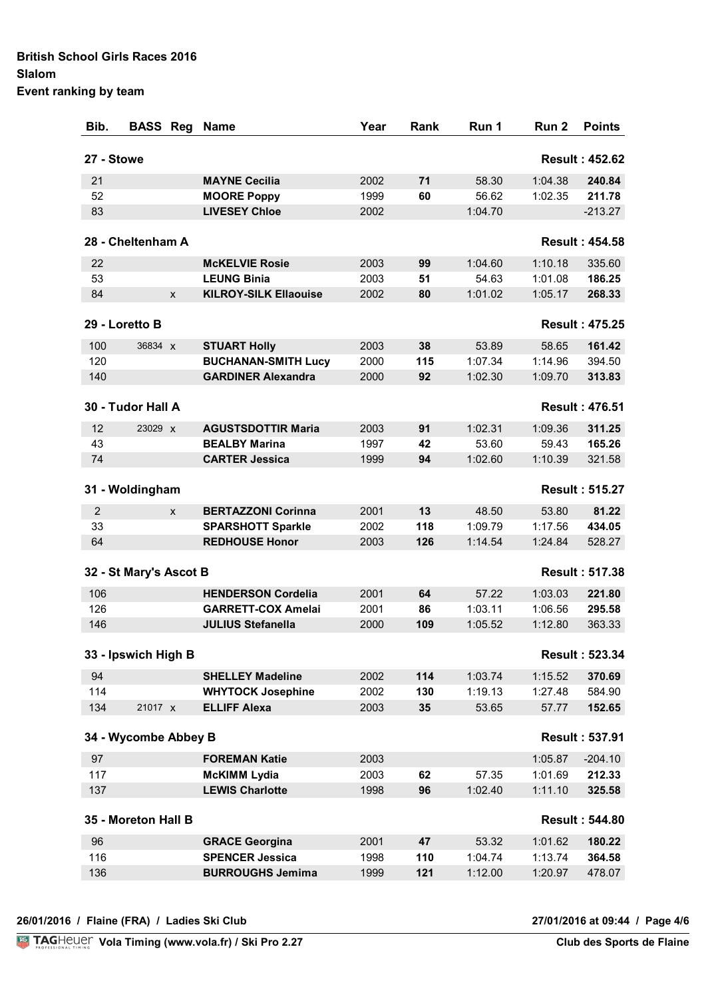| Event ranking by team |  |
|-----------------------|--|
|-----------------------|--|

| Bib.           | <b>BASS Reg</b>        | <b>Name</b>                  | Year | Rank | Run 1   | Run <sub>2</sub> | <b>Points</b>         |
|----------------|------------------------|------------------------------|------|------|---------|------------------|-----------------------|
| 27 - Stowe     |                        |                              |      |      |         |                  | <b>Result: 452.62</b> |
| 21             |                        | <b>MAYNE Cecilia</b>         | 2002 | 71   | 58.30   | 1:04.38          | 240.84                |
| 52             |                        | <b>MOORE Poppy</b>           | 1999 | 60   | 56.62   | 1:02.35          | 211.78                |
| 83             |                        | <b>LIVESEY Chloe</b>         | 2002 |      | 1:04.70 |                  | $-213.27$             |
|                | 28 - Cheltenham A      |                              |      |      |         |                  | <b>Result: 454.58</b> |
| 22             |                        | <b>McKELVIE Rosie</b>        | 2003 | 99   | 1:04.60 | 1:10.18          | 335.60                |
| 53             |                        | <b>LEUNG Binia</b>           | 2003 | 51   | 54.63   | 1:01.08          | 186.25                |
| 84             | X                      | <b>KILROY-SILK Ellaouise</b> | 2002 | 80   | 1:01.02 | 1:05.17          | 268.33                |
|                | 29 - Loretto B         |                              |      |      |         |                  | <b>Result: 475.25</b> |
| 100            | 36834 X                | <b>STUART Holly</b>          | 2003 | 38   | 53.89   | 58.65            | 161.42                |
| 120            |                        | <b>BUCHANAN-SMITH Lucy</b>   | 2000 | 115  | 1:07.34 | 1:14.96          | 394.50                |
| 140            |                        | <b>GARDINER Alexandra</b>    | 2000 | 92   | 1:02.30 | 1:09.70          | 313.83                |
|                | 30 - Tudor Hall A      |                              |      |      |         |                  | <b>Result: 476.51</b> |
| 12             | 23029 X                | <b>AGUSTSDOTTIR Maria</b>    | 2003 | 91   | 1:02.31 | 1:09.36          | 311.25                |
| 43             |                        | <b>BEALBY Marina</b>         | 1997 | 42   | 53.60   | 59.43            | 165.26                |
| 74             |                        | <b>CARTER Jessica</b>        | 1999 | 94   | 1:02.60 | 1:10.39          | 321.58                |
|                | 31 - Woldingham        |                              |      |      |         |                  | <b>Result: 515.27</b> |
| $\overline{c}$ | X                      | <b>BERTAZZONI Corinna</b>    | 2001 | 13   | 48.50   | 53.80            | 81.22                 |
| 33             |                        | <b>SPARSHOTT Sparkle</b>     | 2002 | 118  | 1:09.79 | 1:17.56          | 434.05                |
| 64             |                        | <b>REDHOUSE Honor</b>        | 2003 | 126  | 1:14.54 | 1:24.84          | 528.27                |
|                | 32 - St Mary's Ascot B |                              |      |      |         |                  | <b>Result: 517.38</b> |
| 106            |                        | <b>HENDERSON Cordelia</b>    | 2001 | 64   | 57.22   | 1:03.03          | 221.80                |
| 126            |                        | <b>GARRETT-COX Amelai</b>    | 2001 | 86   | 1:03.11 | 1:06.56          | 295.58                |
| 146            |                        | <b>JULIUS Stefanella</b>     | 2000 | 109  | 1:05.52 | 1:12.80          | 363.33                |
|                | 33 - Ipswich High B    |                              |      |      |         |                  | <b>Result: 523.34</b> |
| 94             |                        | <b>SHELLEY Madeline</b>      | 2002 | 114  | 1:03.74 | 1:15.52          | 370.69                |
| 114            |                        | <b>WHYTOCK Josephine</b>     | 2002 | 130  | 1:19.13 | 1:27.48          | 584.90                |
| 134            | 21017 x                | <b>ELLIFF Alexa</b>          | 2003 | 35   | 53.65   | 57.77            | 152.65                |
|                | 34 - Wycombe Abbey B   |                              |      |      |         |                  | <b>Result: 537.91</b> |
| 97             |                        | <b>FOREMAN Katie</b>         | 2003 |      |         | 1:05.87          | $-204.10$             |
| 117            |                        | <b>McKIMM Lydia</b>          | 2003 | 62   | 57.35   | 1:01.69          | 212.33                |
| 137            |                        | <b>LEWIS Charlotte</b>       | 1998 | 96   | 1:02.40 | 1:11.10          | 325.58                |
|                | 35 - Moreton Hall B    |                              |      |      |         |                  | <b>Result: 544.80</b> |
| 96             |                        | <b>GRACE Georgina</b>        | 2001 | 47   | 53.32   | 1:01.62          | 180.22                |
| 116            |                        | <b>SPENCER Jessica</b>       | 1998 | 110  | 1:04.74 | 1:13.74          | 364.58                |
| 136            |                        | <b>BURROUGHS Jemima</b>      | 1999 | 121  | 1:12.00 | 1:20.97          | 478.07                |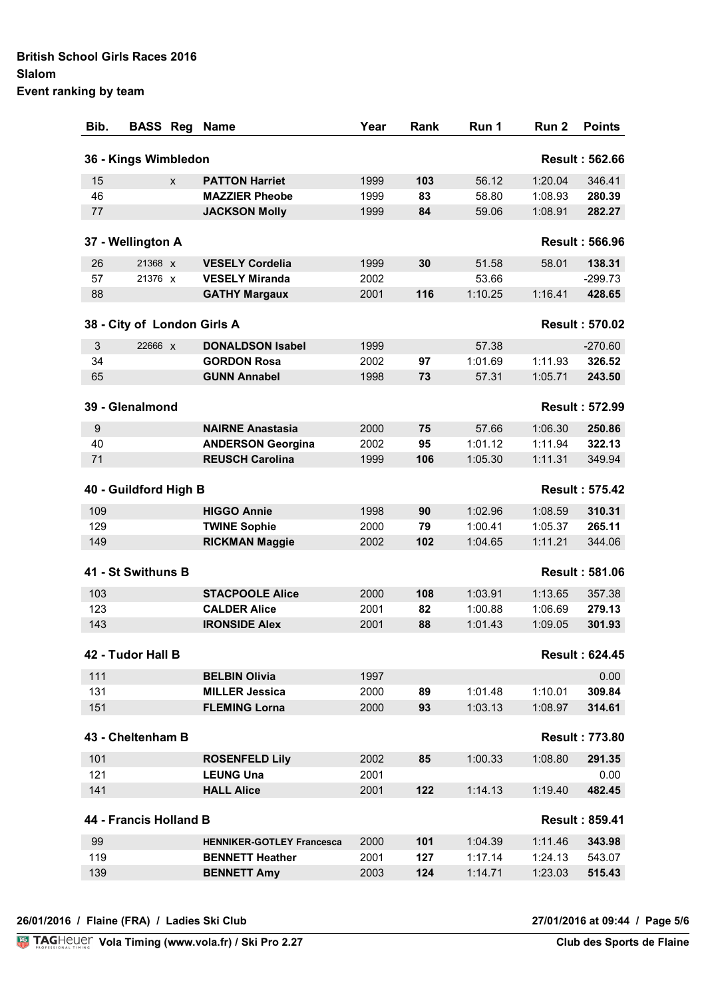| Event ranking by team |  |
|-----------------------|--|
|-----------------------|--|

| Bib.             | <b>BASS Reg</b>             |   | <b>Name</b>                      | Year | Rank | Run 1   | Run 2   | <b>Points</b>         |
|------------------|-----------------------------|---|----------------------------------|------|------|---------|---------|-----------------------|
|                  | 36 - Kings Wimbledon        |   |                                  |      |      |         |         | <b>Result: 562.66</b> |
| 15               |                             | X | <b>PATTON Harriet</b>            | 1999 | 103  | 56.12   | 1:20.04 | 346.41                |
| 46               |                             |   | <b>MAZZIER Pheobe</b>            | 1999 | 83   | 58.80   | 1:08.93 | 280.39                |
| 77               |                             |   | <b>JACKSON Molly</b>             | 1999 | 84   | 59.06   | 1:08.91 | 282.27                |
|                  | 37 - Wellington A           |   |                                  |      |      |         |         | <b>Result: 566.96</b> |
| 26               | 21368 X                     |   | <b>VESELY Cordelia</b>           | 1999 | 30   | 51.58   | 58.01   | 138.31                |
| 57               | 21376 X                     |   | <b>VESELY Miranda</b>            | 2002 |      | 53.66   |         | $-299.73$             |
| 88               |                             |   | <b>GATHY Margaux</b>             | 2001 | 116  | 1:10.25 | 1:16.41 | 428.65                |
|                  | 38 - City of London Girls A |   |                                  |      |      |         |         | <b>Result: 570.02</b> |
| 3                | 22666 x                     |   | <b>DONALDSON Isabel</b>          | 1999 |      | 57.38   |         | $-270.60$             |
| 34               |                             |   | <b>GORDON Rosa</b>               | 2002 | 97   | 1:01.69 | 1:11.93 | 326.52                |
| 65               |                             |   | <b>GUNN Annabel</b>              | 1998 | 73   | 57.31   | 1:05.71 | 243.50                |
|                  | 39 - Glenalmond             |   |                                  |      |      |         |         | <b>Result: 572.99</b> |
| $\boldsymbol{9}$ |                             |   | <b>NAIRNE Anastasia</b>          | 2000 | 75   | 57.66   | 1:06.30 | 250.86                |
| 40               |                             |   | <b>ANDERSON Georgina</b>         | 2002 | 95   | 1:01.12 | 1:11.94 | 322.13                |
| 71               |                             |   | <b>REUSCH Carolina</b>           | 1999 | 106  | 1:05.30 | 1:11.31 | 349.94                |
|                  | 40 - Guildford High B       |   |                                  |      |      |         |         | <b>Result: 575.42</b> |
| 109              |                             |   | <b>HIGGO Annie</b>               | 1998 | 90   | 1:02.96 | 1:08.59 | 310.31                |
| 129              |                             |   | <b>TWINE Sophie</b>              | 2000 | 79   | 1:00.41 | 1:05.37 | 265.11                |
| 149              |                             |   | <b>RICKMAN Maggie</b>            | 2002 | 102  | 1:04.65 | 1:11.21 | 344.06                |
|                  | 41 - St Swithuns B          |   |                                  |      |      |         |         | <b>Result: 581.06</b> |
| 103              |                             |   | <b>STACPOOLE Alice</b>           | 2000 | 108  | 1:03.91 | 1:13.65 | 357.38                |
| 123              |                             |   | <b>CALDER Alice</b>              | 2001 | 82   | 1:00.88 | 1:06.69 | 279.13                |
| 143              |                             |   | <b>IRONSIDE Alex</b>             | 2001 | 88   | 1:01.43 | 1:09.05 | 301.93                |
|                  | 42 - Tudor Hall B           |   |                                  |      |      |         |         | <b>Result: 624.45</b> |
| 111              |                             |   | <b>BELBIN Olivia</b>             | 1997 |      |         |         | 0.00                  |
| 131              |                             |   | <b>MILLER Jessica</b>            | 2000 | 89   | 1:01.48 | 1:10.01 | 309.84                |
| 151              |                             |   | <b>FLEMING Lorna</b>             | 2000 | 93   | 1:03.13 | 1:08.97 | 314.61                |
|                  | 43 - Cheltenham B           |   |                                  |      |      |         |         | <b>Result: 773.80</b> |
| 101              |                             |   | <b>ROSENFELD Lily</b>            | 2002 | 85   | 1:00.33 | 1:08.80 | 291.35                |
| 121              |                             |   | <b>LEUNG Una</b>                 | 2001 |      |         |         | 0.00                  |
| 141              |                             |   | <b>HALL Alice</b>                | 2001 | 122  | 1:14.13 | 1:19.40 | 482.45                |
|                  | 44 - Francis Holland B      |   |                                  |      |      |         |         | <b>Result: 859.41</b> |
| 99               |                             |   | <b>HENNIKER-GOTLEY Francesca</b> | 2000 | 101  | 1:04.39 | 1:11.46 | 343.98                |
| 119              |                             |   | <b>BENNETT Heather</b>           | 2001 | 127  | 1:17.14 | 1:24.13 | 543.07                |
| 139              |                             |   | <b>BENNETT Amy</b>               | 2003 | 124  | 1:14.71 | 1:23.03 | 515.43                |
|                  |                             |   |                                  |      |      |         |         |                       |